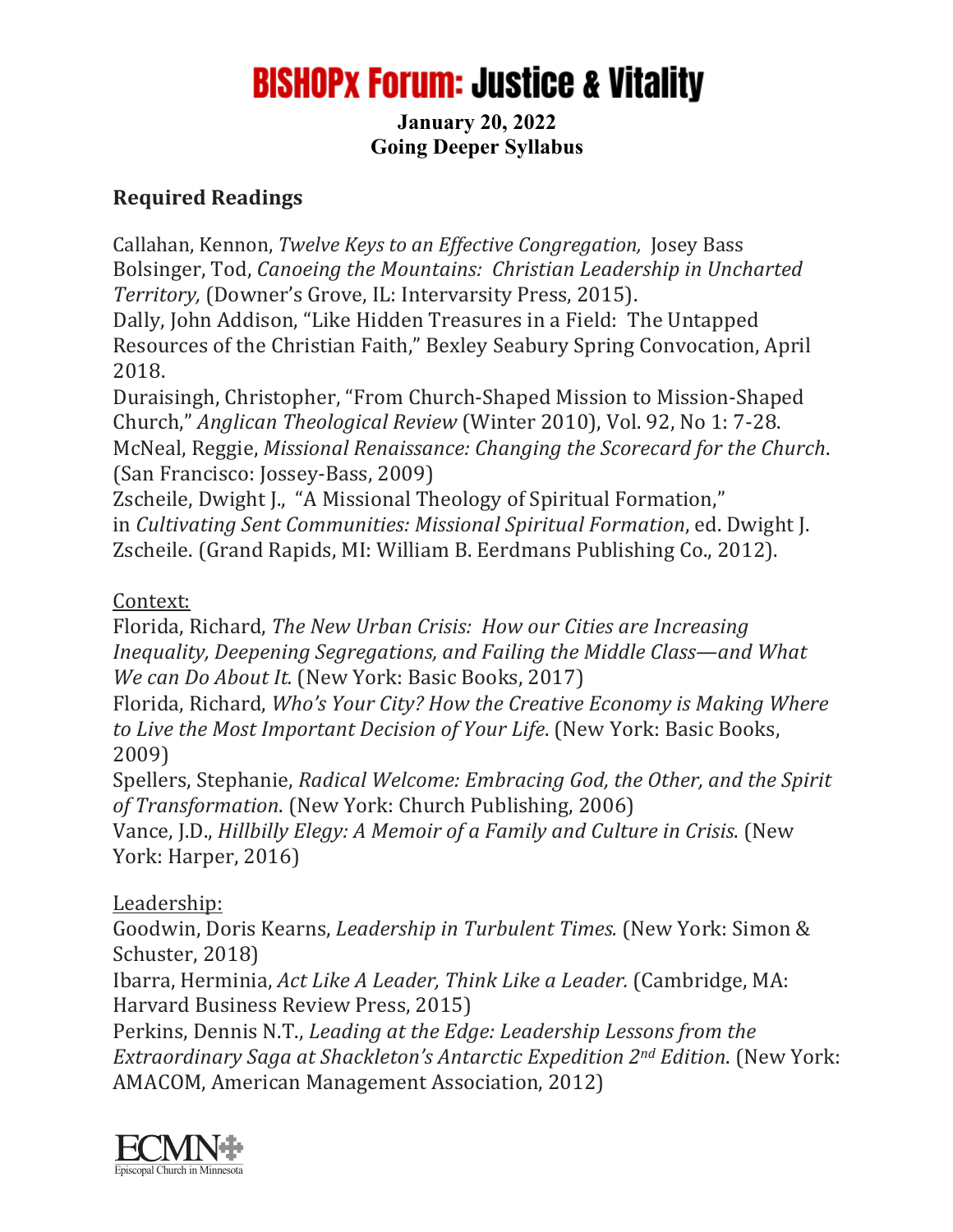# **BISHOPX Forum: Justice & Vitality**

#### **January 20, 2022 Going Deeper Syllabus**

## **Required Readings**

Callahan, Kennon, *Twelve Keys to an Effective Congregation*, Josey Bass Bolsinger, Tod, *Canoeing the Mountains: Christian Leadership in Uncharted* Territory, (Downer's Grove, IL: Intervarsity Press, 2015).

Dally, John Addison, "Like Hidden Treasures in a Field: The Untapped Resources of the Christian Faith," Bexley Seabury Spring Convocation, April 2018.

Duraisingh, Christopher, "From Church-Shaped Mission to Mission-Shaped Church," *Anglican Theological Review* (Winter 2010), Vol. 92, No 1: 7-28. McNeal, Reggie, *Missional Renaissance: Changing the Scorecard for the Church.* (San Francisco: Jossey-Bass, 2009)

Zscheile, Dwight J., "A Missional Theology of Spiritual Formation," in *Cultivating Sent Communities: Missional Spiritual Formation*, ed. Dwight J. Zscheile. (Grand Rapids, MI: William B. Eerdmans Publishing Co., 2012).

#### Context:

Florida, Richard, *The New Urban Crisis: How our Cities are Increasing Inequality, Deepening Segregations, and Failing the Middle Class—and What We can Do About It.* (New York: Basic Books, 2017)

Florida, Richard, *Who's Your City? How the Creative Economy is Making Where to Live the Most Important Decision of Your Life.* (New York: Basic Books, 2009)

Spellers, Stephanie, *Radical Welcome: Embracing God, the Other, and the Spirit of Transformation.* (New York: Church Publishing, 2006)

Vance, J.D., *Hillbilly Elegy: A Memoir of a Family and Culture in Crisis.* (New York: Harper, 2016)

### Leadership:

Goodwin, Doris Kearns, *Leadership in Turbulent Times.* (New York: Simon & Schuster, 2018)

Ibarra, Herminia, *Act Like A Leader, Think Like a Leader.* (Cambridge, MA: Harvard Business Review Press, 2015)

Perkins, Dennis N.T., *Leading at the Edge: Leadership Lessons from the Extraordinary Saga at Shackleton's Antarctic Expedition 2<sup>nd</sup> Edition.* (New York: AMACOM, American Management Association, 2012)